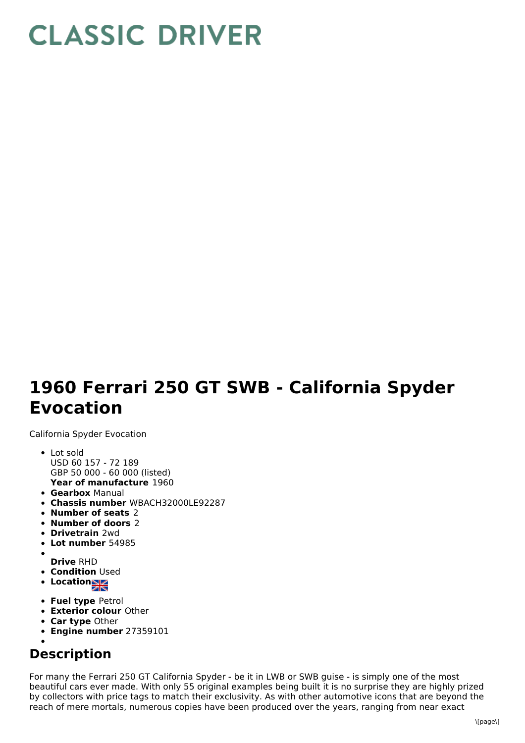## **CLASSIC DRIVER**

## **1960 Ferrari 250 GT SWB - California Spyder Evocation**

California Spyder Evocation

- **Year of manufacture** 1960 • Lot sold USD 60 157 - 72 189 GBP 50 000 - 60 000 (listed)
- **Gearbox** Manual
- **Chassis number** WBACH32000LE92287
- **Number of seats** 2
- **Number of doors** 2
- **Drivetrain** 2wd
- **Lot number** 54985
- **Drive** RHD
- **Condition Used**
- Location
- 
- **Fuel type** Petrol
- **Exterior colour** Other
- **Car type** Other
- **Engine number** 27359101

## **Description**

For many the Ferrari 250 GT California Spyder - be it in LWB or SWB guise - is simply one of the most beautiful cars ever made. With only 55 original examples being built it is no surprise they are highly prized by collectors with price tags to match their exclusivity. As with other automotive icons that are beyond the reach of mere mortals, numerous copies have been produced over the years, ranging from near exact